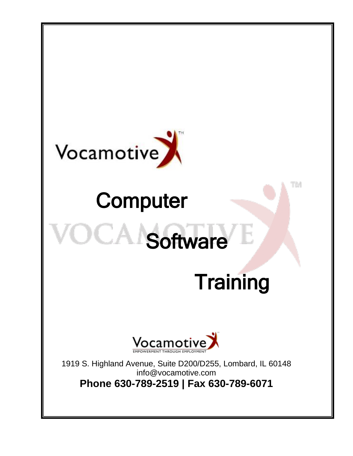

# **Computer**

# **Software**

# **Training**

TM



1919 S. Highland Avenue, Suite D200/D255, Lombard, IL 60148 info@vocamotive.com **Phone 630-789-2519 | Fax 630-789-6071**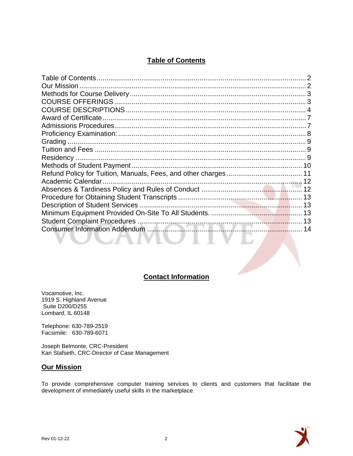# **Table of Contents**

<span id="page-1-0"></span>

| Contact Information |  |
|---------------------|--|

# **Contact Information**

Vocamotive, Inc. 1919 S. Highland Avenue Suite D200/D255 Lombard, IL 60148

Telephone: 630-789-2519 Facsimile: 630-789-6071

Joseph Belmonte, CRC-President Kari Stafseth, CRC-Director of Case Management

#### <span id="page-1-1"></span>**Our Mission**

To provide comprehensive computer training services to clients and customers that facilitate the development of immediately useful skills in the marketplace.

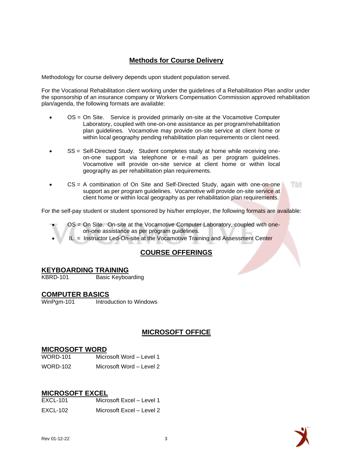# **Methods for Course Delivery**

<span id="page-2-0"></span>Methodology for course delivery depends upon student population served.

For the Vocational Rehabilitation client working under the guidelines of a Rehabilitation Plan and/or under the sponsorship of an insurance company or Workers Compensation Commission approved rehabilitation plan/agenda, the following formats are available:

- OS = On Site. Service is provided primarily on-site at the Vocamotive Computer Laboratory, coupled with one-on-one assistance as per program/rehabilitation plan guidelines. Vocamotive may provide on-site service at client home or within local geography pending rehabilitation plan requirements or client need.
- SS = Self-Directed Study. Student completes study at home while receiving oneon-one support via telephone or e-mail as per program guidelines. Vocamotive will provide on-site service at client home or within local geography as per rehabilitation plan requirements.
- $CS = A$  combination of On Site and Self-Directed Study, again with one-on-one TM support as per program guidelines. Vocamotive will provide on-site service at client home or within local geography as per rehabilitation plan requirements.

For the self-pay student or student sponsored by his/her employer, the following formats are available:

- <span id="page-2-1"></span>• OS = On Site. On-site at the Vocamotive Computer Laboratory, coupled with oneon-one assistance as per program guidelines.
	- $IL =$  Instructor Led-On-site at the Vocamotive Training and Assessment Center

# **COURSE OFFERINGS**

#### **KEYBOARDING TRAINING**

KBRD-101 Basic Keyboarding

# **COMPUTER BASICS**<br>WinPgm-101 Introd

Introduction to Windows

# **MICROSOFT OFFICE**

#### **MICROSOFT WORD**

| WORD-101 | Microsoft Word - Level 1 |
|----------|--------------------------|
| WORD-102 | Microsoft Word - Level 2 |

#### **MICROSOFT EXCEL**

| <b>EXCL-101</b> | Microsoft Excel - Level 1 |
|-----------------|---------------------------|
| EXCL-102        | Microsoft Excel – Level 2 |

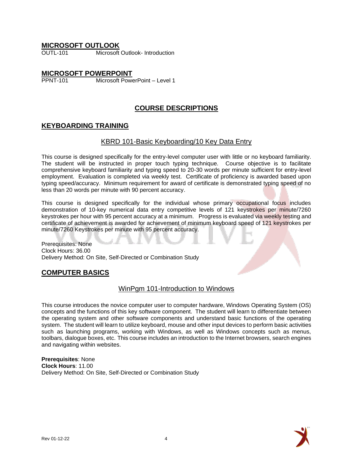#### **MICROSOFT OUTLOOK**

OUTL-101 Microsoft Outlook- Introduction

# **MICROSOFT POWERPOINT**<br>PPNT-101 Microsoft Powe

<span id="page-3-0"></span>Microsoft PowerPoint – Level 1

# **COURSE DESCRIPTIONS**

# **KEYBOARDING TRAINING**

#### KBRD 101-Basic Keyboarding/10 Key Data Entry

This course is designed specifically for the entry-level computer user with little or no keyboard familiarity. The student will be instructed in proper touch typing technique. Course objective is to facilitate comprehensive keyboard familiarity and typing speed to 20-30 words per minute sufficient for entry-level employment. Evaluation is completed via weekly test. Certificate of proficiency is awarded based upon typing speed/accuracy. Minimum requirement for award of certificate is demonstrated typing speed of no less than 20 words per minute with 90 percent accuracy.

This course is designed specifically for the individual whose primary occupational focus includes demonstration of 10-key numerical data entry competitive levels of 121 keystrokes per minute/7260 keystrokes per hour with 95 percent accuracy at a minimum. Progress is evaluated via weekly testing and certificate of achievement is awarded for achievement of minimum keyboard speed of 121 keystrokes per minute/7260 Keystrokes per minute with 95 percent accuracy.

Prerequisites: None Clock Hours: 36.00 Delivery Method: On Site, Self-Directed or Combination Study

# **COMPUTER BASICS**

#### WinPam 101-Introduction to Windows

This course introduces the novice computer user to computer hardware, Windows Operating System (OS) concepts and the functions of this key software component. The student will learn to differentiate between the operating system and other software components and understand basic functions of the operating system. The student will learn to utilize keyboard, mouse and other input devices to perform basic activities such as launching programs, working with Windows, as well as Windows concepts such as menus, toolbars, dialogue boxes, etc. This course includes an introduction to the Internet browsers, search engines and navigating within websites.

**Prerequisites**: None **Clock Hours**: 11.00 Delivery Method: On Site, Self-Directed or Combination Study

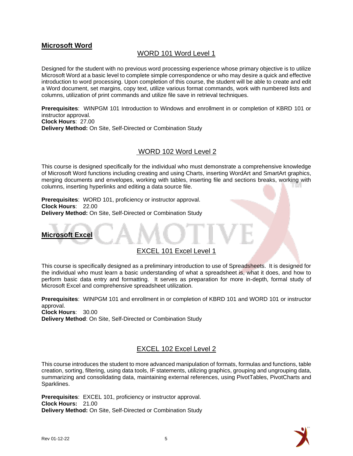# **Microsoft Word**

# WORD 101 Word Level 1

Designed for the student with no previous word processing experience whose primary objective is to utilize Microsoft Word at a basic level to complete simple correspondence or who may desire a quick and effective introduction to word processing. Upon completion of this course, the student will be able to create and edit a Word document, set margins, copy text, utilize various format commands, work with numbered lists and columns, utilization of print commands and utilize file save in retrieval techniques.

**Prerequisites**: WINPGM 101 Introduction to Windows and enrollment in or completion of KBRD 101 or instructor approval. **Clock Hours**: 27.00 **Delivery Method:** On Site, Self-Directed or Combination Study

#### WORD 102 Word Level 2

This course is designed specifically for the individual who must demonstrate a comprehensive knowledge of Microsoft Word functions including creating and using Charts, inserting WordArt and SmartArt graphics, merging documents and envelopes, working with tables, inserting file and sections breaks, working with columns, inserting hyperlinks and editing a data source file.

**Prerequisites**: WORD 101, proficiency or instructor approval. **Clock Hours**: 22.00 **Delivery Method:** On Site, Self-Directed or Combination Study



# EXCEL 101 Excel Level 1

This course is specifically designed as a preliminary introduction to use of Spreadsheets. It is designed for the individual who must learn a basic understanding of what a spreadsheet is, what it does, and how to perform basic data entry and formatting. It serves as preparation for more in-depth, formal study of Microsoft Excel and comprehensive spreadsheet utilization.

**Prerequisites**: WINPGM 101 and enrollment in or completion of KBRD 101 and WORD 101 or instructor approval.

**Clock Hours**: 30.00 **Delivery Method**: On Site, Self-Directed or Combination Study

# EXCEL 102 Excel Level 2

This course introduces the student to more advanced manipulation of formats, formulas and functions, table creation, sorting, filtering, using data tools, IF statements, utilizing graphics, grouping and ungrouping data, summarizing and consolidating data, maintaining external references, using PivotTables, PivotCharts and Sparklines.

**Prerequisites**: EXCEL 101, proficiency or instructor approval. **Clock Hours:** 21.00 **Delivery Method:** On Site, Self-Directed or Combination Study

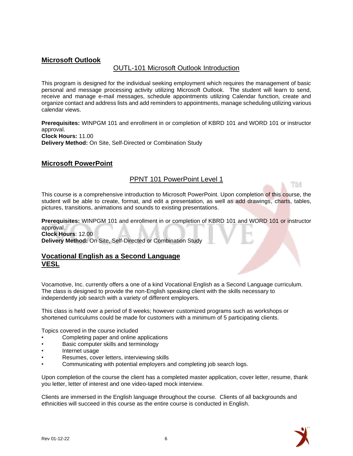# **Microsoft Outlook**

# OUTL-101 Microsoft Outlook Introduction

This program is designed for the individual seeking employment which requires the management of basic personal and message processing activity utilizing Microsoft Outlook. The student will learn to send, receive and manage e-mail messages, schedule appointments utilizing Calendar function, create and organize contact and address lists and add reminders to appointments, manage scheduling utilizing various calendar views.

**Prerequisites:** WINPGM 101 and enrollment in or completion of KBRD 101 and WORD 101 or instructor approval. **Clock Hours:** 11.00 **Delivery Method:** On Site, Self-Directed or Combination Study

# **Microsoft PowerPoint**

# PPNT 101 PowerPoint Level 1

This course is a comprehensive introduction to Microsoft PowerPoint. Upon completion of this course, the student will be able to create, format, and edit a presentation, as well as add drawings, charts, tables, pictures, transitions, animations and sounds to existing presentations.

**Prerequisites:** WINPGM 101 and enrollment in or completion of KBRD 101 and WORD 101 or instructor approval. **Clock Hours**: 12.00

#### **Delivery Method:** On Site, Self-Directed or Combination Study

# **Vocational English as a Second Language VESL**

Vocamotive, Inc. currently offers a one of a kind Vocational English as a Second Language curriculum. The class is designed to provide the non-English speaking client with the skills necessary to independently job search with a variety of different employers.

This class is held over a period of 8 weeks; however customized programs such as workshops or shortened curriculums could be made for customers with a minimum of 5 participating clients.

Topics covered in the course included

- Completing paper and online applications
- Basic computer skills and terminology
- Internet usage
- Resumes, cover letters, interviewing skills
- Communicating with potential employers and completing job search logs.

Upon completion of the course the client has a completed master application, cover letter, resume, thank you letter, letter of interest and one video-taped mock interview.

Clients are immersed in the English language throughout the course. Clients of all backgrounds and ethnicities will succeed in this course as the entire course is conducted in English.



TМ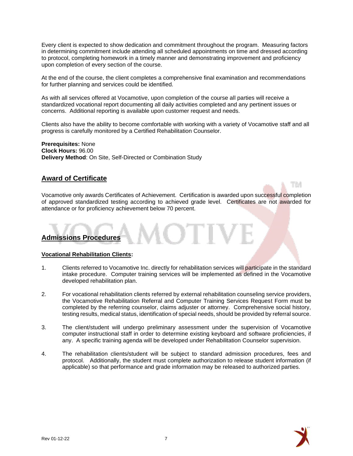Every client is expected to show dedication and commitment throughout the program. Measuring factors in determining commitment include attending all scheduled appointments on time and dressed according to protocol, completing homework in a timely manner and demonstrating improvement and proficiency upon completion of every section of the course.

At the end of the course, the client completes a comprehensive final examination and recommendations for further planning and services could be identified.

As with all services offered at Vocamotive, upon completion of the course all parties will receive a standardized vocational report documenting all daily activities completed and any pertinent issues or concerns. Additional reporting is available upon customer request and needs.

Clients also have the ability to become comfortable with working with a variety of Vocamotive staff and all progress is carefully monitored by a Certified Rehabilitation Counselor.

**Prerequisites:** None **Clock Hours:** 96.00 **Delivery Method**: On Site, Self-Directed or Combination Study

# <span id="page-6-0"></span>**Award of Certificate**

<span id="page-6-1"></span>Vocamotive only awards Certificates of Achievement. Certification is awarded upon successful completion of approved standardized testing according to achieved grade level. Certificates are not awarded for attendance or for proficiency achievement below 70 percent.

# **Admissions Procedures**

#### **Vocational Rehabilitation Clients:**

- 1. Clients referred to Vocamotive Inc. directly for rehabilitation services will participate in the standard intake procedure. Computer training services will be implemented as defined in the Vocamotive developed rehabilitation plan.
- 2. For vocational rehabilitation clients referred by external rehabilitation counseling service providers, the Vocamotive Rehabilitation Referral and Computer Training Services Request Form must be completed by the referring counselor, claims adjuster or attorney. Comprehensive social history, testing results, medical status, identification of special needs, should be provided by referral source.
- 3. The client/student will undergo preliminary assessment under the supervision of Vocamotive computer instructional staff in order to determine existing keyboard and software proficiencies, if any. A specific training agenda will be developed under Rehabilitation Counselor supervision.
- 4. The rehabilitation clients/student will be subject to standard admission procedures, fees and protocol. Additionally, the student must complete authorization to release student information (if applicable) so that performance and grade information may be released to authorized parties.



TM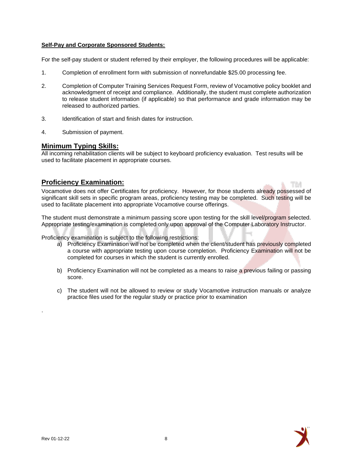#### **Self-Pay and Corporate Sponsored Students:**

For the self-pay student or student referred by their employer, the following procedures will be applicable:

- 1. Completion of enrollment form with submission of nonrefundable \$25.00 processing fee.
- 2. Completion of Computer Training Services Request Form, review of Vocamotive policy booklet and acknowledgment of receipt and compliance. Additionally, the student must complete authorization to release student information (if applicable) so that performance and grade information may be released to authorized parties.
- 3. Identification of start and finish dates for instruction.
- 4. Submission of payment.

#### **Minimum Typing Skills:**

All incoming rehabilitation clients will be subject to keyboard proficiency evaluation. Test results will be used to facilitate placement in appropriate courses.

# <span id="page-7-0"></span>**Proficiency Examination:**

Vocamotive does not offer Certificates for proficiency. However, for those students already possessed of significant skill sets in specific program areas, proficiency testing may be completed. Such testing will be used to facilitate placement into appropriate Vocamotive course offerings.

The student must demonstrate a minimum passing score upon testing for the skill level/program selected. Appropriate testing/examination is completed only upon approval of the Computer Laboratory Instructor.

Proficiency examination is subject to the following restrictions:

- a) Proficiency Examination will not be completed when the client/student has previously completed a course with appropriate testing upon course completion. Proficiency Examination will not be completed for courses in which the student is currently enrolled.
- b) Proficiency Examination will not be completed as a means to raise a previous failing or passing score.
- c) The student will not be allowed to review or study Vocamotive instruction manuals or analyze practice files used for the regular study or practice prior to examination



.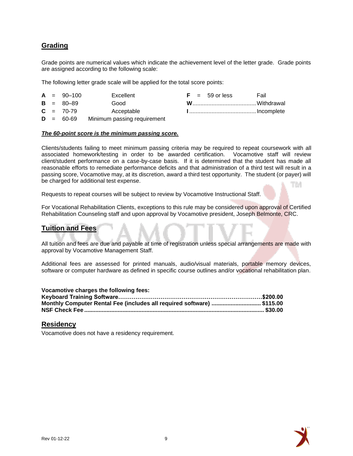# <span id="page-8-0"></span>**Grading**

Grade points are numerical values which indicate the achievement level of the letter grade. Grade points are assigned according to the following scale:

The following letter grade scale will be applied for the total score points:

|                               | $A = 90-100$  | Excellent                                                                                                      |  | $F = 59$ or less | Fail |
|-------------------------------|---------------|----------------------------------------------------------------------------------------------------------------|--|------------------|------|
|                               | $B = 80 - 89$ | Good                                                                                                           |  |                  |      |
|                               | $C = 70-79$   | Acceptable                                                                                                     |  |                  |      |
| $\mathbf{r}$ and $\mathbf{r}$ | $\sim$ $\sim$ | Material company of the state of the second company of the state of the state of the state of the state of the |  |                  |      |

60-69 Minimum passing requirement

#### *The 60-point score is the minimum passing score.*

Clients/students failing to meet minimum passing criteria may be required to repeat coursework with all associated homework/testing in order to be awarded certification. Vocamotive staff will review client/student performance on a case-by-case basis. If it is determined that the student has made all reasonable efforts to remediate performance deficits and that administration of a third test will result in a passing score, Vocamotive may, at its discretion, award a third test opportunity. The student (or payer) will be charged for additional test expense. ТM

Requests to repeat courses will be subject to review by Vocamotive Instructional Staff.

For Vocational Rehabilitation Clients, exceptions to this rule may be considered upon approval of Certified Rehabilitation Counseling staff and upon approval by Vocamotive president, Joseph Belmonte, CRC.

#### <span id="page-8-1"></span>**Tuition and Fees**

All tuition and fees are due and payable at time of registration unless special arrangements are made with approval by Vocamotive Management Staff.

Additional fees are assessed for printed manuals, audio/visual materials, portable memory devices, software or computer hardware as defined in specific course outlines and/or vocational rehabilitation plan.

| Vocamotive charges the following fees:                      |  |
|-------------------------------------------------------------|--|
| Keyboard Training Software…………………………………………………………………\$200.00 |  |

| Monthly Computer Rental Fee (includes all required software) \$115.00 |  |
|-----------------------------------------------------------------------|--|
|                                                                       |  |

#### <span id="page-8-2"></span>**Residency**

Vocamotive does not have a residency requirement.

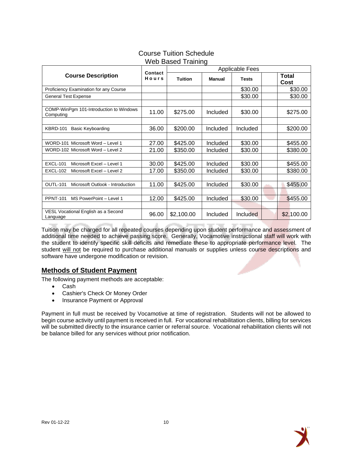|                                                                                              | Contact        | <b>Applicable Fees</b>          |                      |                    |  |                      |
|----------------------------------------------------------------------------------------------|----------------|---------------------------------|----------------------|--------------------|--|----------------------|
| <b>Course Description</b>                                                                    | Hours          | <b>Tuition</b><br><b>Manual</b> |                      | <b>Tests</b>       |  | Total<br>Cost        |
| Proficiency Examination for any Course                                                       |                |                                 |                      | \$30.00            |  | \$30.00              |
| <b>General Test Expense</b>                                                                  |                |                                 |                      | \$30.00            |  | \$30.00              |
| COMP-WinPgm 101-Introduction to Windows<br>Computing                                         | 11.00          | \$275.00                        | Included             | \$30.00            |  | \$275.00             |
| <b>KBRD-101</b><br><b>Basic Keyboarding</b>                                                  | 36.00          | \$200.00                        | Included             | Included           |  | \$200.00             |
| WORD-101 Microsoft Word - Level 1<br>WORD-102 Microsoft Word - Level 2                       | 27.00<br>21.00 | \$425.00<br>\$350.00            | Included<br>Included | \$30.00<br>\$30.00 |  | \$455.00<br>\$380.00 |
| <b>EXCL-101</b><br>Microsoft Excel - Level 1<br><b>EXCL-102</b><br>Microsoft Excel - Level 2 | 30.00<br>17.00 | \$425.00<br>\$350.00            | Included<br>Included | \$30.00<br>\$30.00 |  | \$455.00<br>\$380.00 |
| <b>OUTL-101</b><br>Microsoft Outlook - Introduction                                          | 11.00          | \$425.00                        | Included             | \$30.00            |  | \$455.00             |
| <b>PPNT-101</b><br>MS PowerPoint - Level 1                                                   | 12.00          | \$425.00                        | Included             | \$30.00            |  | \$455.00             |
| VESL Vocational English as a Second<br>Language                                              | 96.00          | \$2,100.00                      | Included             | Included           |  | \$2,100.00           |

#### Course Tuition Schedule Web Based Training

Tuition may be charged for all repeated courses depending upon student performance and assessment of additional time needed to achieve passing score. Generally, Vocamotive instructional staff will work with the student to identify specific skill deficits and remediate these to appropriate performance level. The student will not be required to purchase additional manuals or supplies unless course descriptions and software have undergone modification or revision.

# <span id="page-9-0"></span>**Methods of Student Payment**

The following payment methods are acceptable:

- Cash
- Cashier's Check Or Money Order
- Insurance Payment or Approval

<span id="page-9-1"></span>Payment in full must be received by Vocamotive at time of registration. Students will not be allowed to begin course activity until payment is received in full. For vocational rehabilitation clients, billing for services will be submitted directly to the insurance carrier or referral source. Vocational rehabilitation clients will not be balance billed for any services without prior notification.

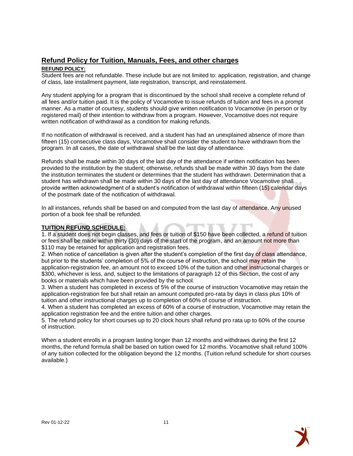# **Refund Policy for Tuition, Manuals, Fees, and other charges**

#### **REFUND POLICY:**

Student fees are not refundable. These include but are not limited to: application, registration, and change of class, late installment payment, late registration, transcript, and reinstatement.

Any student applying for a program that is discontinued by the school shall receive a complete refund of all fees and/or tuition paid. It is the policy of Vocamotive to issue refunds of tuition and fees in a prompt manner. As a matter of courtesy, students should give written notification to Vocamotive (in person or by registered mail) of their intention to withdraw from a program. However, Vocamotive does not require written notification of withdrawal as a condition for making refunds.

If no notification of withdrawal is received, and a student has had an unexplained absence of more than fifteen (15) consecutive class days, Vocamotive shall consider the student to have withdrawn from the program. In all cases, the date of withdrawal shall be the last day of attendance.

Refunds shall be made within 30 days of the last day of the attendance if written notification has been provided to the institution by the student; otherwise, refunds shall be made within 30 days from the date the institution terminates the student or determines that the student has withdrawn. Determination that a student has withdrawn shall be made within 30 days of the last day of attendance Vocamotive shall provide written acknowledgment of a student's notification of withdrawal within fifteen (15) calendar days of the postmark date of the notification of withdrawal.

In all instances, refunds shall be based on and computed from the last day of attendance. Any unused portion of a book fee shall be refunded.

#### **TUITION REFUND SCHEDULE:**

1. If a student does not begin classes, and fees or tuition of \$150 have been collected, a refund of tuition or fees shall be made within thirty (30) days of the start of the program, and an amount not more than \$110 may be retained for application and registration fees.

2. When notice of cancellation is given after the student's completion of the first day of class attendance, but prior to the students' completion of 5% of the course of instruction, the school may retain the application-registration fee, an amount not to exceed 10% of the tuition and other instructional charges or \$300, whichever is less, and, subject to the limitations of paragraph 12 of this Section, the cost of any books or materials which have been provided by the school.

3. When a student has completed in excess of 5% of the course of instruction Vocamotive may retain the application-registration fee but shall retain an amount computed pro-rata by days in class plus 10% of tuition and other instructional charges up to completion of 60% of course of instruction.

4. When a student has completed an excess of 60% of a course of instruction, Vocamotive may retain the application registration fee and the entire tuition and other charges.

5. The refund policy for short courses up to 20 clock hours shall refund pro rata up to 60% of the course of instruction.

<span id="page-10-0"></span>When a student enrolls in a program lasting longer than 12 months and withdraws during the first 12 months, the refund formula shall be based on tuition owed for 12 months. Vocamotive shall refund 100% of any tuition collected for the obligation beyond the 12 months. (Tuition refund schedule for short courses available.)

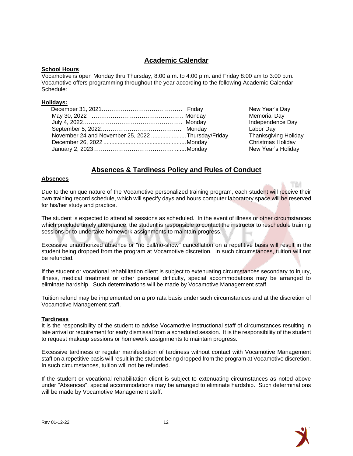# **Academic Calendar**

#### **School Hours**

Vocamotive is open Monday thru Thursday, 8:00 a.m. to 4:00 p.m. and Friday 8:00 am to 3:00 p.m. Vocamotive offers programming throughout the year according to the following Academic Calendar Schedule:

#### **Holidays:**

| November 24 and November 25, 2022 Thursday/Friday |  |
|---------------------------------------------------|--|
|                                                   |  |
|                                                   |  |

New Year's Day Memorial Day Independence Day Labor Day Thanksgiving Holiday Christmas Holiday New Year's Holiday

TM

# **Absences & Tardiness Policy and Rules of Conduct**

#### <span id="page-11-0"></span>**Absences**

Due to the unique nature of the Vocamotive personalized training program, each student will receive their own training record schedule, which will specify days and hours computer laboratory space will be reserved for his/her study and practice.

The student is expected to attend all sessions as scheduled. In the event of illness or other circumstances which preclude timely attendance, the student is responsible to contact the instructor to reschedule training sessions or to undertake homework assignments to maintain progress.

Excessive unauthorized absence or "no call/no-show" cancellation on a repetitive basis will result in the student being dropped from the program at Vocamotive discretion. In such circumstances, tuition will not be refunded.

If the student or vocational rehabilitation client is subject to extenuating circumstances secondary to injury, illness, medical treatment or other personal difficulty, special accommodations may be arranged to eliminate hardship. Such determinations will be made by Vocamotive Management staff.

Tuition refund may be implemented on a pro rata basis under such circumstances and at the discretion of Vocamotive Management staff.

#### **Tardiness**

It is the responsibility of the student to advise Vocamotive instructional staff of circumstances resulting in late arrival or requirement for early dismissal from a scheduled session. It is the responsibility of the student to request makeup sessions or homework assignments to maintain progress.

Excessive tardiness or regular manifestation of tardiness without contact with Vocamotive Management staff on a repetitive basis will result in the student being dropped from the program at Vocamotive discretion. In such circumstances, tuition will not be refunded.

If the student or vocational rehabilitation client is subject to extenuating circumstances as noted above under "Absences", special accommodations may be arranged to eliminate hardship. Such determinations will be made by Vocamotive Management staff.

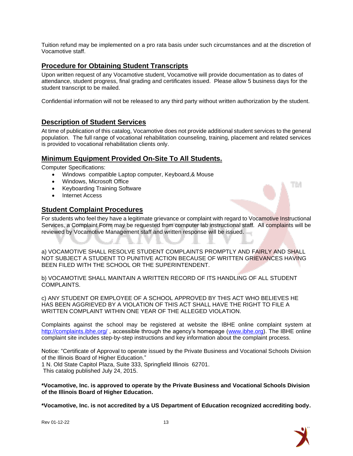Tuition refund may be implemented on a pro rata basis under such circumstances and at the discretion of Vocamotive staff.

# <span id="page-12-0"></span>**Procedure for Obtaining Student Transcripts**

Upon written request of any Vocamotive student, Vocamotive will provide documentation as to dates of attendance, student progress, final grading and certificates issued. Please allow 5 business days for the student transcript to be mailed.

Confidential information will not be released to any third party without written authorization by the student.

# <span id="page-12-1"></span>**Description of Student Services**

At time of publication of this catalog, Vocamotive does not provide additional student services to the general population. The full range of vocational rehabilitation counseling, training, placement and related services is provided to vocational rehabilitation clients only.

# <span id="page-12-2"></span>**Minimum Equipment Provided On-Site To All Students.**

Computer Specifications:

- Windows compatible Laptop computer, Keyboard,& Mouse
- Windows, Microsoft Office
- Keyboarding Training Software
- Internet Access

#### <span id="page-12-3"></span>**Student Complaint Procedures**

For students who feel they have a legitimate grievance or complaint with regard to Vocamotive Instructional Services, a Complaint Form may be requested from computer lab instructional staff. All complaints will be reviewed by Vocamotive Management staff and written response will be issued.

a) VOCAMOTIVE SHALL RESOLVE STUDENT COMPLAINTS PROMPTLY AND FAIRLY AND SHALL NOT SUBJECT A STUDENT TO PUNITIVE ACTION BECAUSE OF WRITTEN GRIEVANCES HAVING BEEN FILED WITH THE SCHOOL OR THE SUPERINTENDENT.

b) VOCAMOTIVE SHALL MAINTAIN A WRITTEN RECORD OF ITS HANDLING OF ALL STUDENT COMPLAINTS.

c) ANY STUDENT OR EMPLOYEE OF A SCHOOL APPROVED BY THIS ACT WHO BELIEVES HE HAS BEEN AGGRIEVED BY A VIOLATION OF THIS ACT SHALL HAVE THE RIGHT TO FILE A WRITTEN COMPLAINT WITHIN ONE YEAR OF THE ALLEGED VIOLATION.

Complaints against the school may be registered at website the IBHE online complaint system at <http://complaints.ibhe.org/> , accessible through the agency's homepage [\(www.ibhe.org\)](http://www.ibhe.org/). The IBHE online complaint site includes step-by-step instructions and key information about the complaint process.

Notice: "Certificate of Approval to operate issued by the Private Business and Vocational Schools Division of the Illinois Board of Higher Education."

1 N. Old State Capitol Plaza, Suite 333, Springfield Illinois 62701. This catalog published July 24, 2015.

**\*Vocamotive, Inc. is approved to operate by the Private Business and Vocational Schools Division of the Illinois Board of Higher Education.**

**\*Vocamotive, Inc. is not accredited by a US Department of Education recognized accrediting body.**



ТM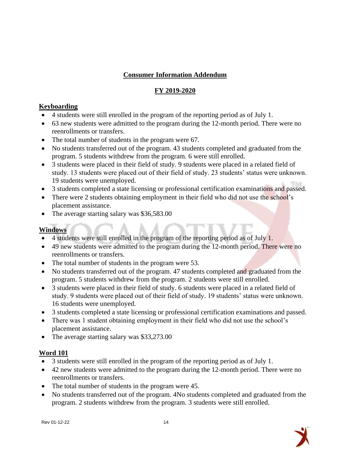# **Consumer Information Addendum**

# **FY 2019-2020**

# **Keyboarding**

- 4 students were still enrolled in the program of the reporting period as of July 1.
- 63 new students were admitted to the program during the 12-month period. There were no reenrollments or transfers.
- The total number of students in the program were 67.
- No students transferred out of the program. 43 students completed and graduated from the program. 5 students withdrew from the program. 6 were still enrolled.
- 3 students were placed in their field of study. 9 students were placed in a related field of study. 13 students were placed out of their field of study. 23 students' status were unknown. 19 students were unemployed.
- 3 students completed a state licensing or professional certification examinations and passed.
- There were 2 students obtaining employment in their field who did not use the school's placement assistance.
- The average starting salary was \$36,583.00

# **Windows**

- 4 students were still enrolled in the program of the reporting period as of July 1.
- 49 new students were admitted to the program during the 12-month period. There were no reenrollments or transfers.
- The total number of students in the program were 53.
- No students transferred out of the program. 47 students completed and graduated from the program. 5 students withdrew from the program. 2 students were still enrolled.
- 3 students were placed in their field of study. 6 students were placed in a related field of study. 9 students were placed out of their field of study. 19 students' status were unknown. 16 students were unemployed.
- 3 students completed a state licensing or professional certification examinations and passed.
- There was 1 student obtaining employment in their field who did not use the school's placement assistance.
- The average starting salary was \$33,273.00

# **Word 101**

- 3 students were still enrolled in the program of the reporting period as of July 1.
- 42 new students were admitted to the program during the 12-month period. There were no reenrollments or transfers.
- The total number of students in the program were 45.
- No students transferred out of the program. 4No students completed and graduated from the program. 2 students withdrew from the program. 3 students were still enrolled.

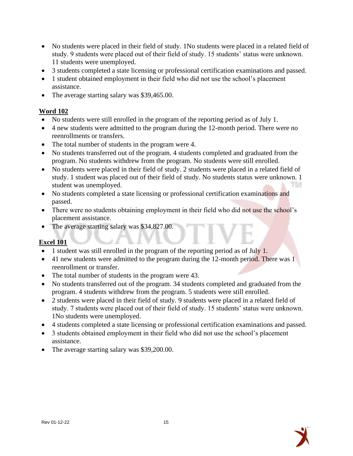- No students were placed in their field of study. 1No students were placed in a related field of study. 9 students were placed out of their field of study. 15 students' status were unknown. 11 students were unemployed.
- 3 students completed a state licensing or professional certification examinations and passed.
- 1 student obtained employment in their field who did not use the school's placement assistance.
- The average starting salary was \$39,465.00.

# **Word 102**

- No students were still enrolled in the program of the reporting period as of July 1.
- 4 new students were admitted to the program during the 12-month period. There were no reenrollments or transfers.
- The total number of students in the program were 4.
- No students transferred out of the program. 4 students completed and graduated from the program. No students withdrew from the program. No students were still enrolled.
- No students were placed in their field of study. 2 students were placed in a related field of study. 1 student was placed out of their field of study. No students status were unknown. 1 student was unemployed. TM
- No students completed a state licensing or professional certification examinations and passed.
- There were no students obtaining employment in their field who did not use the school's placement assistance.
- The average starting salary was \$34,827.00.

# **Excel 101**

- 1 student was still enrolled in the program of the reporting period as of July 1.
- 41 new students were admitted to the program during the 12-month period. There was 1 reenrollment or transfer.
- The total number of students in the program were 43.
- No students transferred out of the program. 34 students completed and graduated from the program. 4 students withdrew from the program. 5 students were still enrolled.
- 2 students were placed in their field of study. 9 students were placed in a related field of study. 7 students were placed out of their field of study. 15 students' status were unknown. 1No students were unemployed.
- 4 students completed a state licensing or professional certification examinations and passed.
- 3 students obtained employment in their field who did not use the school's placement assistance.
- The average starting salary was \$39,200.00.

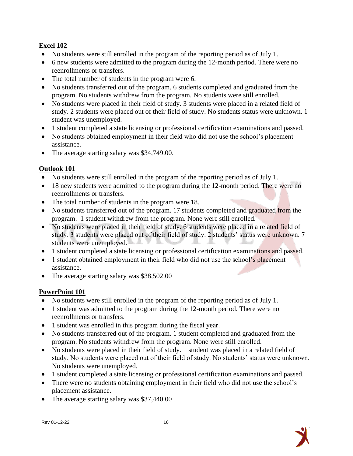# **Excel 102**

- No students were still enrolled in the program of the reporting period as of July 1.
- 6 new students were admitted to the program during the 12-month period. There were no reenrollments or transfers.
- The total number of students in the program were 6.
- No students transferred out of the program. 6 students completed and graduated from the program. No students withdrew from the program. No students were still enrolled.
- No students were placed in their field of study. 3 students were placed in a related field of study. 2 students were placed out of their field of study. No students status were unknown. 1 student was unemployed.
- 1 student completed a state licensing or professional certification examinations and passed.
- No students obtained employment in their field who did not use the school's placement assistance.
- The average starting salary was \$34,749.00.

# **Outlook 101**

- No students were still enrolled in the program of the reporting period as of July 1.
- 18 new students were admitted to the program during the 12-month period. There were no reenrollments or transfers.
- The total number of students in the program were 18.
- No students transferred out of the program. 17 students completed and graduated from the program. 1 student withdrew from the program. None were still enrolled.
- No students were placed in their field of study. 6 students were placed in a related field of study. 3 students were placed out of their field of study. 2 students' status were unknown. 7 students were unemployed.
- 1 student completed a state licensing or professional certification examinations and passed.
- 1 student obtained employment in their field who did not use the school's placement assistance.
- The average starting salary was \$38,502.00

# **PowerPoint 101**

- No students were still enrolled in the program of the reporting period as of July 1.
- 1 student was admitted to the program during the 12-month period. There were no reenrollments or transfers.
- 1 student was enrolled in this program during the fiscal year.
- No students transferred out of the program. 1 student completed and graduated from the program. No students withdrew from the program. None were still enrolled.
- No students were placed in their field of study. 1 student was placed in a related field of study. No students were placed out of their field of study. No students' status were unknown. No students were unemployed.
- 1 student completed a state licensing or professional certification examinations and passed.
- There were no students obtaining employment in their field who did not use the school's placement assistance.
- The average starting salary was \$37,440.00